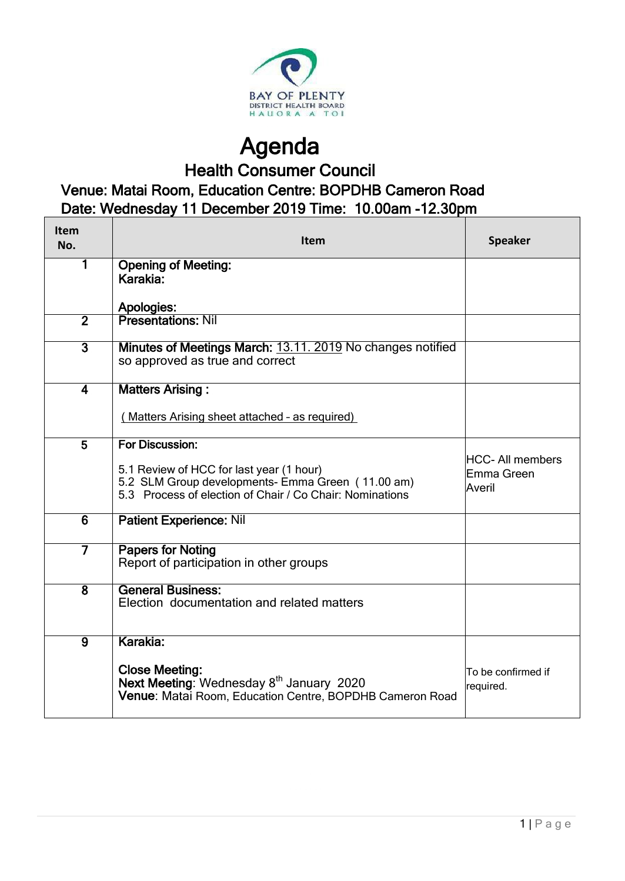

Agenda Health Consumer Council

## Venue: Matai Room, Education Centre: BOPDHB Cameron Road Date: Wednesday 11 December 2019 Time: 10.00am -12.30pm

| Item<br>No.             | Item                                                                                                                                                      | <b>Speaker</b>                                 |  |  |  |
|-------------------------|-----------------------------------------------------------------------------------------------------------------------------------------------------------|------------------------------------------------|--|--|--|
| 1                       | <b>Opening of Meeting:</b><br>Karakia:                                                                                                                    |                                                |  |  |  |
|                         | <b>Apologies:</b>                                                                                                                                         |                                                |  |  |  |
| $\overline{2}$          | <b>Presentations: Nil</b>                                                                                                                                 |                                                |  |  |  |
| $\overline{3}$          | Minutes of Meetings March: 13.11. 2019 No changes notified<br>so approved as true and correct                                                             |                                                |  |  |  |
| $\overline{\mathbf{4}}$ | <b>Matters Arising:</b>                                                                                                                                   |                                                |  |  |  |
|                         | (Matters Arising sheet attached - as required)                                                                                                            |                                                |  |  |  |
| 5                       | For Discussion:                                                                                                                                           |                                                |  |  |  |
|                         | 5.1 Review of HCC for last year (1 hour)<br>5.2 SLM Group developments- Emma Green (11.00 am)<br>5.3 Process of election of Chair / Co Chair: Nominations | <b>HCC-All members</b><br>Emma Green<br>Averil |  |  |  |
| $\overline{6}$          | <b>Patient Experience: Nil</b>                                                                                                                            |                                                |  |  |  |
| 7                       | <b>Papers for Noting</b><br>Report of participation in other groups                                                                                       |                                                |  |  |  |
| $\overline{8}$          | <b>General Business:</b><br>Election documentation and related matters                                                                                    |                                                |  |  |  |
| $\overline{9}$          | Karakia:                                                                                                                                                  |                                                |  |  |  |
|                         | <b>Close Meeting:</b><br>Next Meeting: Wednesday 8 <sup>th</sup> January 2020<br>Venue: Matai Room, Education Centre, BOPDHB Cameron Road                 | To be confirmed if<br>required.                |  |  |  |